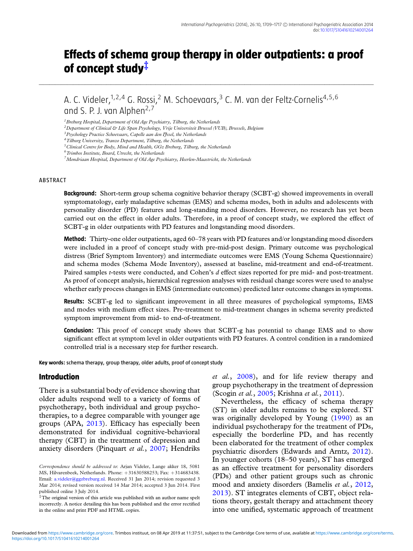# **Effects of schema group therapy in older outpatients: a proof of concept study***‡*

A. C. Videler,<sup>1,2,4</sup> G. Rossi,<sup>2</sup> M. Schoevaars,<sup>3</sup> C. M. van der Feltz-Cornelis<sup>4,5,6</sup> and S. P. J. van Alphen<sup>2,7</sup>

...........................................................................................................................................................................................................................................................................................................................................................................................................................................................................................................................................................................................................................................

*1Breburg Hospital, Department of Old Age Psychiatry, Tilburg, the Netherlands*

*2Department of Clinical & Life Span Psychology, Vrije Universiteit Brussel (VUB), Brussels, Belgium*

*5Clinical Centre for Body, Mind and Health, GGz Breburg, Tilburg, the Netherlands*

*7Mondriaan Hospital, Department of Old Age Psychiatry, Heerlen-Maastricht, the Netherlands*

#### ABSTRACT

**Background:** Short-term group schema cognitive behavior therapy (SCBT-g) showed improvements in overall symptomatology, early maladaptive schemas (EMS) and schema modes, both in adults and adolescents with personality disorder (PD) features and long-standing mood disorders. However, no research has yet been carried out on the effect in older adults. Therefore, in a proof of concept study, we explored the effect of SCBT-g in older outpatients with PD features and longstanding mood disorders.

**Method:** Thirty-one older outpatients, aged 60–78 years with PD features and/or longstanding mood disorders were included in a proof of concept study with pre-mid-post design. Primary outcome was psychological distress (Brief Symptom Inventory) and intermediate outcomes were EMS (Young Schema Questionnaire) and schema modes (Schema Mode Inventory), assessed at baseline, mid-treatment and end-of-treatment. Paired samples *t*-tests were conducted, and Cohen's *d* effect sizes reported for pre mid- and post-treatment. As proof of concept analysis, hierarchical regression analyses with residual change scores were used to analyse whether early process changes in EMS (intermediate outcomes) predicted later outcome changes in symptoms.

**Results:** SCBT-g led to significant improvement in all three measures of psychological symptoms, EMS and modes with medium effect sizes. Pre-treatment to mid-treatment changes in schema severity predicted symptom improvement from mid- to end-of-treatment.

**Conclusion:** This proof of concept study shows that SCBT-g has potential to change EMS and to show significant effect at symptom level in older outpatients with PD features. A control condition in a randomized controlled trial is a necessary step for further research.

**Key words:** schema therapy, group therapy, older adults, proof of concept study

#### **Introduction**

There is a substantial body of evidence showing that older adults respond well to a variety of forms of psychotherapy, both individual and group psychotherapies, to a degree comparable with younger age groups (APA, [2013\)](#page-7-0). Efficacy has especially been demonstrated for individual cognitive-behavioral therapy (CBT) in the treatment of depression and anxiety disorders (Pinquart *et al.*, [2007;](#page-8-0) Hendriks *et al.*, [2008\)](#page-8-0), and for life review therapy and group psychotherapy in the treatment of depression (Scogin *et al.*, [2005;](#page-8-0) Krishna *et al.*, [2011\)](#page-8-0).

Nevertheless, the efficacy of schema therapy (ST) in older adults remains to be explored. ST was originally developed by Young [\(1990\)](#page-8-0) as an individual psychotherapy for the treatment of PDs, especially the borderline PD, and has recently been elaborated for the treatment of other complex psychiatric disorders (Edwards and Arntz, [2012\)](#page-7-0). In younger cohorts (18–50 years), ST has emerged as an effective treatment for personality disorders (PDs) and other patient groups such as chronic mood and anxiety disorders (Bamelis *et al.*, [2012,](#page-7-0) [2013\)](#page-7-0). ST integrates elements of CBT, object relations theory, gestalt therapy and attachment theory into one unified, systematic approach of treatment

*<sup>3</sup>Psychology Practice Schoevaars, Capelle aan den IJssel, the Netherlands*

*<sup>4</sup>Tilburg University, Tranzo Department, Tilburg, the Netherlands*

*<sup>6</sup>Trimbos Institute, Board, Utrecht, the Netherlands*

*Correspondence should be addressed to*: Arjan Videler, Lange akker 18, 5081 MS, Hilvarenbeek, Netherlands. Phone: +31630588253; Fax: +314683438. Email: [a.videler@ggzbreburg.nl.](mailto:a.videler@ggzbreburg.nl) Received 31 Jan 2014; revision requested 3 Mar 2014; revised version received 14 Mar 2014; accepted 3 Jun 2014. First published online 3 July 2014.

<sup>‡</sup>The original version of this article was published with an author name spelt incorrectly. A notice detailing this has been published and the error rectified in the online and print PDF and HTML copies.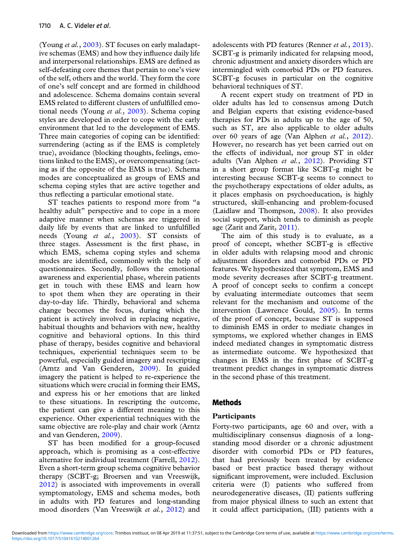(Young *et al.*, [2003\)](#page-8-0). ST focuses on early maladaptive schemas (EMS) and how they influence daily life and interpersonal relationships. EMS are defined as self-defeating core themes that pertain to one's view of the self, others and the world. They form the core of one's self concept and are formed in childhood and adolescence. Schema domains contain several EMS related to different clusters of unfulfilled emotional needs (Young *et al.*, [2003\)](#page-8-0). Schema coping styles are developed in order to cope with the early environment that led to the development of EMS. Three main categories of coping can be identified: surrendering (acting as if the EMS is completely true), avoidance (blocking thoughts, feelings, emotions linked to the EMS), or overcompensating (acting as if the opposite of the EMS is true). Schema modes are conceptualized as groups of EMS and schema coping styles that are active together and thus reflecting a particular emotional state.

ST teaches patients to respond more from "a healthy adult" perspective and to cope in a more adaptive manner when schemas are triggered in daily life by events that are linked to unfulfilled needs (Young *et al.*, [2003\)](#page-8-0). ST consists of three stages. Assessment is the first phase, in which EMS, schema coping styles and schema modes are identified, commonly with the help of questionnaires. Secondly, follows the emotional awareness and experiential phase, wherein patients get in touch with these EMS and learn how to spot them when they are operating in their day-to-day life. Thirdly, behavioral and schema change becomes the focus, during which the patient is actively involved in replacing negative, habitual thoughts and behaviors with new, healthy cognitive and behavioral options. In this third phase of therapy, besides cognitive and behavioral techniques, experiential techniques seem to be powerful, especially guided imagery and rescripting (Arntz and Van Genderen, [2009\)](#page-7-0). In guided imagery the patient is helped to re-experience the situations which were crucial in forming their EMS, and express his or her emotions that are linked to these situations. In rescripting the outcome, the patient can give a different meaning to this experience. Other experiential techniques with the same objective are role-play and chair work (Arntz and van Genderen, [2009\)](#page-7-0).

ST has been modified for a group-focused approach, which is promising as a cost-effective alternative for individual treatment (Farrell, [2012\)](#page-7-0). Even a short-term group schema cognitive behavior therapy (SCBT-g; Broersen and van Vreeswijk, [2012\)](#page-7-0) is associated with improvements in overall symptomatology, EMS and schema modes, both in adults with PD features and long-standing mood disorders (Van Vreeswijk *et al.*, [2012\)](#page-8-0) and

adolescents with PD features (Renner *et al.*, [2013\)](#page-8-0). SCBT-g is primarily indicated for relapsing mood, chronic adjustment and anxiety disorders which are intermingled with comorbid PDs or PD features. SCBT-g focuses in particular on the cognitive behavioral techniques of ST.

A recent expert study on treatment of PD in older adults has led to consensus among Dutch and Belgian experts that existing evidence-based therapies for PDs in adults up to the age of 50, such as ST, are also applicable to older adults over 60 years of age (Van Alphen *et al.*, [2012\)](#page-8-0). However, no research has yet been carried out on the effects of individual, nor group ST in older adults (Van Alphen *et al.*, [2012\)](#page-8-0). Providing ST in a short group format like SCBT-g might be interesting because SCBT-g seems to connect to the psychotherapy expectations of older adults, as it places emphasis on psychoeducation, is highly structured, skill-enhancing and problem-focused (Laidlaw and Thompson, [2008\)](#page-8-0). It also provides social support, which tends to diminish as people age (Zarit and Zarit, [2011\)](#page-8-0).

The aim of this study is to evaluate, as a proof of concept, whether SCBT-g is effective in older adults with relapsing mood and chronic adjustment disorders and comorbid PDs or PD features. We hypothesized that symptom, EMS and mode severity decreases after SCBT-g treatment. A proof of concept seeks to confirm a concept by evaluating intermediate outcomes that seem relevant for the mechanism and outcome of the intervention (Lawrence Gould, [2005\)](#page-8-0). In terms of the proof of concept, because ST is supposed to diminish EMS in order to mediate changes in symptoms, we explored whether changes in EMS indeed mediated changes in symptomatic distress as intermediate outcome. We hypothesized that changes in EMS in the first phase of SCBT-g treatment predict changes in symptomatic distress in the second phase of this treatment.

## **Methods**

## **Participants**

Forty-two participants, age 60 and over, with a multidisciplinary consensus diagnosis of a longstanding mood disorder or a chronic adjustment disorder with comorbid PDs or PD features, that had previously been treated by evidence based or best practice based therapy without significant improvement, were included. Exclusion criteria were (I) patients who suffered from neurodegenerative diseases, (II) patients suffering from major physical illness to such an extent that it could affect participation, (III) patients with a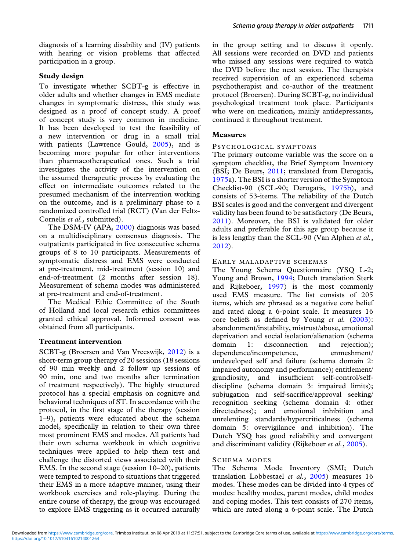diagnosis of a learning disability and (IV) patients with hearing or vision problems that affected participation in a group.

## **Study design**

To investigate whether SCBT-g is effective in older adults and whether changes in EMS mediate changes in symptomatic distress, this study was designed as a proof of concept study. A proof of concept study is very common in medicine. It has been developed to test the feasibility of a new intervention or drug in a small trial with patients (Lawrence Gould, [2005\)](#page-8-0), and is becoming more popular for other interventions than pharmacotherapeutical ones. Such a trial investigates the activity of the intervention on the assumed therapeutic process by evaluating the effect on intermediate outcomes related to the presumed mechanism of the intervention working on the outcome, and is a preliminary phase to a randomized controlled trial (RCT) (Van der Feltz-Cornelis *et al.,* submitted).

The DSM-IV (APA, [2000\)](#page-7-0) diagnosis was based on a multidisciplinary consensus diagnosis. The outpatients participated in five consecutive schema groups of 8 to 10 participants. Measurements of symptomatic distress and EMS were conducted at pre-treatment, mid-treatment (session 10) and end-of-treatment (2 months after session 18). Measurement of schema modes was administered at pre-treatment and end-of-treatment.

The Medical Ethic Committee of the South of Holland and local research ethics committees granted ethical approval. Informed consent was obtained from all participants.

## **Treatment intervention**

SCBT-g (Broersen and Van Vreeswijk, [2012\)](#page-7-0) is a short-term group therapy of 20 sessions (18 sessions of 90 min weekly and 2 follow up sessions of 90 min, one and two months after termination of treatment respectively). The highly structured protocol has a special emphasis on cognitive and behavioral techniques of ST. In accordance with the protocol, in the first stage of the therapy (session 1–9), patients were educated about the schema model, specifically in relation to their own three most prominent EMS and modes. All patients had their own schema workbook in which cognitive techniques were applied to help them test and challenge the distorted views associated with their EMS. In the second stage (session 10–20), patients were tempted to respond to situations that triggered their EMS in a more adaptive manner, using their workbook exercises and role-playing. During the entire course of therapy, the group was encouraged to explore EMS triggering as it occurred naturally in the group setting and to discuss it openly. All sessions were recorded on DVD and patients who missed any sessions were required to watch the DVD before the next session. The therapists received supervision of an experienced schema psychotherapist and co-author of the treatment protocol (Broersen). During SCBT-g, no individual psychological treatment took place. Participants who were on medication, mainly antidepressants, continued it throughout treatment.

## **Measures**

## PSYCHOLOGICAL SYMPTOMS

The primary outcome variable was the score on a symptom checklist, the Brief Symptom Inventory (BSI; De Beurs, [2011;](#page-7-0) translated from Derogatis, [1975a](#page-7-0)). The BSI is a shorter version of the Symptom Checklist-90 (SCL-90; Derogatis, [1975b\)](#page-7-0), and consists of 53-items. The reliability of the Dutch BSI scales is good and the convergent and divergent validity has been found to be satisfactory (De Beurs, [2011\)](#page-7-0). Moreover, the BSI is validated for older adults and preferable for this age group because it is less lengthy than the SCL-90 (Van Alphen *et al.*, [2012\)](#page-8-0).

## EARLY MALADAPTIVE SCHEMAS

The Young Schema Questionnaire (YSQ L-2; Young and Brown, [1994;](#page-8-0) Dutch translation Sterk and Rijkeboer, [1997\)](#page-8-0) is the most commonly used EMS measure. The list consists of 205 items, which are phrased as a negative core belief and rated along a 6-point scale. It measures 16 core beliefs as defined by Young *et al.* [\(2003\)](#page-8-0): abandonment/instability, mistrust/abuse, emotional deprivation and social isolation/alienation (schema domain 1: disconnection and rejection); dependence/incompetence, enmeshment/ undeveloped self and failure (schema domain 2: impaired autonomy and performance); entitlement/ grandiosity, and insufficient self-control/selfdiscipline (schema domain 3: impaired limits); subjugation and self-sacrifice/approval seeking/ recognition seeking (schema domain 4: other directedness); and emotional inhibition and unrelenting standards/hypercriticalness (schema domain 5: overvigilance and inhibition). The Dutch YSQ has good reliability and convergent and discriminant validity (Rijkeboer *et al.*, [2005\)](#page-8-0).

## SCHEMA MODES

The Schema Mode Inventory (SMI; Dutch translation Lobbestael *et al.*, [2005\)](#page-8-0) measures 16 modes. These modes can be divided into 4 types of modes: healthy modes, parent modes, child modes and coping modes. This test consists of 270 items, which are rated along a 6-point scale. The Dutch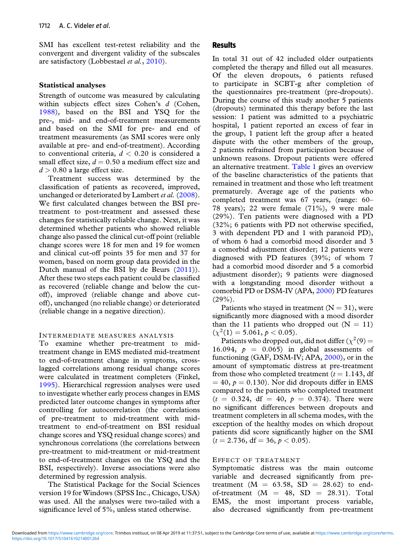SMI has excellent test-retest reliability and the convergent and divergent validity of the subscales are satisfactory (Lobbestael *et al.*, [2010\)](#page-8-0).

## **Statistical analyses**

Strength of outcome was measured by calculating within subjects effect sizes Cohen's *d* (Cohen, [1988\)](#page-7-0)*,* based on the BSI and YSQ for the pre-, mid- and end-of-treatment measurements and based on the SMI for pre- and end of treatment measurements (as SMI scores were only available at pre- and end-of-treatment). According to conventional criteria,  $d < 0.20$  is considered a small effect size,  $d = 0.50$  a medium effect size and  $d > 0.80$  a large effect size.

Treatment success was determined by the classification of patients as recovered, improved, unchanged or deteriorated by Lambert *et al.* [\(2008\)](#page-8-0). We first calculated changes between the BSI pretreatment to post-treatment and assessed these changes for statistically reliable change. Next, it was determined whether patients who showed reliable change also passed the clinical cut-off point (reliable change scores were 18 for men and 19 for women and clinical cut-off points 35 for men and 37 for women, based on norm group data provided in the Dutch manual of the BSI by de Beurs [\(2011\)](#page-7-0)). After these two steps each patient could be classified as recovered (reliable change and below the cutoff), improved (reliable change and above cutoff), unchanged (no reliable change) or deteriorated (reliable change in a negative direction).

## INTERMEDIATE MEASURES ANALYSIS

To examine whether pre-treatment to midtreatment change in EMS mediated mid-treatment to end-of-treatment change in symptoms, crosslagged correlations among residual change scores were calculated in treatment completers (Finkel, [1995\)](#page-7-0). Hierarchical regression analyses were used to investigate whether early process changes in EMS predicted later outcome changes in symptoms after controlling for autocorrelation (the correlations of pre-treatment to mid-treatment with midtreatment to end-of-treatment on BSI residual change scores and YSQ residual change scores) and synchronous correlations (the correlations between pre-treatment to mid-treatment or mid-treatment to end-of-treatment changes on the YSQ and the BSI, respectively). Inverse associations were also determined by regression analysis.

The Statistical Package for the Social Sciences version 19 for Windows (SPSS Inc., Chicago, USA) was used. All the analyses were two-tailed with a significance level of 5%, unless stated otherwise.

## **Results**

In total 31 out of 42 included older outpatients completed the therapy and filled out all measures. Of the eleven dropouts, 6 patients refused to participate in SCBT-g after completion of the questionnaires pre-treatment (pre-dropouts). During the course of this study another 5 patients (dropouts) terminated this therapy before the last session: 1 patient was admitted to a psychiatric hospital, 1 patient reported an excess of fear in the group, 1 patient left the group after a heated dispute with the other members of the group, 2 patients refrained from participation because of unknown reasons. Dropout patients were offered an alternative treatment. [Table 1](#page-4-0) gives an overview of the baseline characteristics of the patients that remained in treatment and those who left treatment prematurely. Average age of the patients who completed treatment was 67 years, (range: 60– 78 years); 22 were female (71%), 9 were male (29%). Ten patients were diagnosed with a PD (32%; 6 patients with PD not otherwise specified, 3 with dependent PD and 1 with paranoid PD), of whom 6 had a comorbid mood disorder and 3 a comorbid adjustment disorder; 12 patients were diagnosed with PD features (39%; of whom 7 had a comorbid mood disorder and 5 a comorbid adjustment disorder); 9 patients were diagnosed with a longstanding mood disorder without a comorbid PD or DSM-IV (APA, [2000\)](#page-7-0) PD features  $(29\%).$ 

Patients who stayed in treatment  $(N = 31)$ , were significantly more diagnosed with a mood disorder than the 11 patients who dropped out  $(N = 11)$  $(\chi^2(1) = 5.061, p < 0.05).$ 

Patients who dropped out, did not differ  $(\chi^2(9) =$ 16.094,  $p = 0.065$  in global assessments of functioning (GAF, DSM-IV; APA, [2000\)](#page-7-0), or in the amount of symptomatic distress at pre-treatment from those who completed treatment  $(t = 1.143, df)$  $= 40, p = 0.130$ . Nor did dropouts differ in EMS compared to the patients who completed treatment  $(t = 0.324, df = 40, p = 0.374)$ . There were no significant differences between dropouts and treatment completers in all schema modes, with the exception of the healthy modes on which dropout patients did score significantly higher on the SMI  $(t = 2.736, df = 36, p < 0.05)$ .

#### EFFECT OF TREATMENT

Symptomatic distress was the main outcome variable and decreased significantly from pretreatment ( $M = 63.58$ ,  $SD = 28.62$ ) to endof-treatment  $(M = 48, SD = 28.31)$ . Total EMS, the most important process variable, also decreased significantly from pre-treatment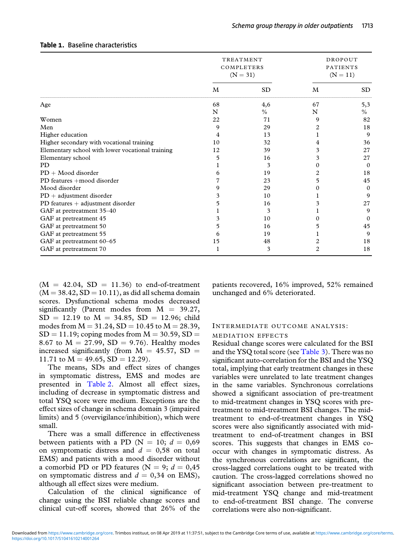|                                                  | TREATMENT<br>COMPLETERS<br>$(N = 31)$ |               | DROPOUT<br><b>PATIENTS</b><br>$(N = 11)$ |          |
|--------------------------------------------------|---------------------------------------|---------------|------------------------------------------|----------|
|                                                  | M                                     | <b>SD</b>     | M                                        | SD.      |
| Age                                              | 68                                    | 4,6           | 67                                       | 5,3      |
|                                                  | N                                     | $\frac{0}{0}$ | N                                        | $\%$     |
| Women                                            | 22                                    | 71            | 9                                        | 82       |
| Men                                              | 9                                     | 29            |                                          | 18       |
| Higher education                                 |                                       | 13            |                                          | 9        |
| Higher secondary with vocational training        | 10                                    | 32            |                                          | 36       |
| Elementary school with lower vocational training | 12                                    | 39            | 3                                        | 27       |
| Elementary school                                |                                       | 16            | 3                                        | 27       |
| <b>PD</b>                                        |                                       | 3             | 0                                        | $\Omega$ |
| $PD + Model$ disorder                            |                                       | 19            |                                          | 18       |
| PD features +mood disorder                       |                                       | 23            | ל                                        | 45       |
| Mood disorder                                    | 9                                     | 29            |                                          | $\Omega$ |
| $PD + adjustment$ disorder                       |                                       | 10            |                                          | 9        |
| PD features $+$ adjustment disorder              |                                       | 16            |                                          | 27       |
| GAF at pretreatment 35-40                        |                                       | 3             |                                          | 9        |
| GAF at pretreatment 45                           | 3                                     | 10            |                                          | $\Omega$ |
| GAF at pretreatment 50                           | 5                                     | 16            |                                          | 45       |
| GAF at pretreatment 55                           |                                       | 19            |                                          | 9        |
| GAF at pretreatment 60-65                        | 15                                    | 48            |                                          | 18       |
| GAF at pretreatment 70                           |                                       | 3             | 2                                        | 18       |

## <span id="page-4-0"></span>**Table 1.** Baseline characteristics

 $(M = 42.04, SD = 11.36)$  to end-of-treatment  $(M = 38.42, SD = 10.11)$ , as did all schema domain scores. Dysfunctional schema modes decreased significantly (Parent modes from  $M = 39.27$ ,  $SD = 12.19$  to  $M = 34.85$ ,  $SD = 12.96$ ; child modes from  $M = 31.24$ ,  $SD = 10.45$  to  $M = 28.39$ ,  $SD = 11.19$ ; coping modes from  $M = 30.59$ ,  $SD =$ 8.67 to  $M = 27.99$ ,  $SD = 9.76$ ). Healthy modes increased significantly (from  $M = 45.57$ , SD = 11.71 to  $M = 49.65$ ,  $SD = 12.29$ .

The means, SDs and effect sizes of changes in symptomatic distress, EMS and modes are presented in [Table 2.](#page-5-0) Almost all effect sizes, including of decrease in symptomatic distress and total YSQ score were medium. Exceptions are the effect sizes of change in schema domain 3 (impaired limits) and 5 (overvigilance/inhibition), which were small.

There was a small difference in effectiveness between patients with a PD ( $N = 10$ ;  $d = 0.69$ on symptomatic distress and  $d = 0.58$  on total EMS) and patients with a mood disorder without a comorbid PD or PD features ( $N = 9$ ;  $d = 0.45$ ) on symptomatic distress and  $d = 0.34$  on EMS), although all effect sizes were medium.

Calculation of the clinical significance of change using the BSI reliable change scores and clinical cut-off scores, showed that 26% of the

patients recovered, 16% improved, 52% remained unchanged and 6% deteriorated.

## INTERMEDIATE OUTCOME ANALYSIS: MEDIATION EFFECTS

Residual change scores were calculated for the BSI and the YSQ total score (see [Table 3\)](#page-5-0). There was no significant auto-correlation for the BSI and the YSQ total, implying that early treatment changes in these variables were unrelated to late treatment changes in the same variables. Synchronous correlations showed a significant association of pre-treatment to mid-treatment changes in YSQ scores with pretreatment to mid-treatment BSI changes. The midtreatment to end-of-treatment changes in YSQ scores were also significantly associated with midtreatment to end-of-treatment changes in BSI scores. This suggests that changes in EMS cooccur with changes in symptomatic distress. As the synchronous correlations are significant, the cross-lagged correlations ought to be treated with caution. The cross-lagged correlations showed no significant association between pre-treatment to mid-treatment YSQ change and mid-treatment to end-of-treatment BSI change. The converse correlations were also non-significant.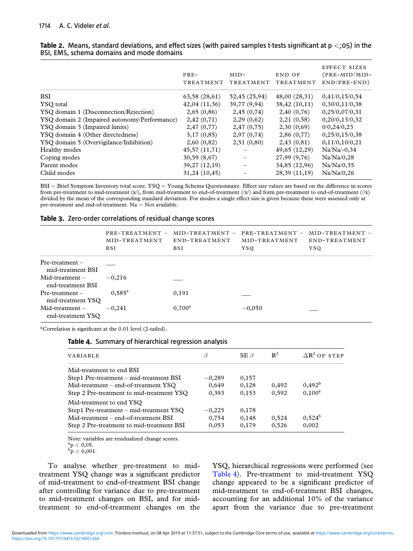|                                              | PRE-<br>TREATMENT | $MID-$<br>TREATMENT | END OF<br>TREATMENT | EFFECT SIZES<br>(PRE-MID/MID-<br>$END/PRE-END)$ |
|----------------------------------------------|-------------------|---------------------|---------------------|-------------------------------------------------|
| <b>BSI</b>                                   | 63,58(28,61)      | 52,45 (25,94)       | 48,00 (28,31)       | 0,41/0,15/0,54                                  |
| YSO total                                    | 42,04 (11,36)     | 39,77 (9,94)        | 38,42 (10,11)       | 0,30/0,11/0,38                                  |
| YSQ domain 1 (Disconnection/Rejection)       | 2,65(0,86)        | 2,45(0,74)          | 2,40 (0,76)         | 0,25/0,07/0,31                                  |
| YSQ domain 2 (Impaired autonomy/Performance) | 2,42(0,71)        | 2,29(0,62)          | 2,21 (0,58)         | 0,20/0,13/0,32                                  |
| YSQ domain 3 (Impaired limits)               | 2,47(0,77)        | 2,47(0,75)          | 2,30(0,69)          | 0/0,24/0,23                                     |
| YSQ domain 4 (Other directedness)            | 3,17(0,85)        | 2,97(0,74)          | 2,86(0,77)          | 0,25/0,15/0,38                                  |
| YSQ domain 5 (Overvigilance/Inhibition)      | 2,60(0,82)        | 2,51(0,80)          | 2,43(0,81)          | 0,11/0,10/0,21                                  |
| Healthy modes                                | 45,57 (11,71)     |                     | 49,65 (12,29)       | $Na/Na/-0,34$                                   |
| Coping modes                                 | 30,59 (8,67)      |                     | 27,99 (9,76)        | Na/Na/0,28                                      |
| Parent modes                                 | 39,27 (12,19)     |                     | 34,85 (12,96)       | Na/Na/0,35                                      |
| Child modes                                  | 31,24 (10,45)     |                     | 28,39 (11,19)       | Na/Na/0,26                                      |

<span id="page-5-0"></span>

|  | Table 2. Means, standard deviations, and effect sizes (with paired samples t-tests significant at $p \lt 105$ ) in the |  |  |  |  |
|--|------------------------------------------------------------------------------------------------------------------------|--|--|--|--|
|  | BSI, EMS, schema domains and mode domains                                                                              |  |  |  |  |

BSI = Brief Symptom Inventory total score. YSQ = Young Schema Questionnaire. Effect size values are based on the difference in scores from pre-treatment to mid-treatment (x/), from mid-treatment to end-of-treatment (/x/) and form pre-treatment to end-of-treatment (//x) divided by the mean of the corresponding standard deviation. For modes a single effect size is given because these were assessed only at pre-treatment and end-of-treatment.  $Na = Not available$ .

## **Table 3.** Zero-order correlations of residual change scores

|                                         | MID-TREATMENT<br><b>BSI</b> | $PRE-TREATMENT - MID-TREATMENT - PRE-TREATMENT -$<br>END-TREATMENT<br><b>BSI</b> | MID-TREATMENT<br><b>YSO</b> | $MID-TREATMENT -$<br>END-TREATMENT<br>YSO |
|-----------------------------------------|-----------------------------|----------------------------------------------------------------------------------|-----------------------------|-------------------------------------------|
| $Pre- treatment -$<br>mid-treatment BSI |                             |                                                                                  |                             |                                           |
| $Mid$ -treatment –<br>end-treatment BSI | $-0.216$                    |                                                                                  |                             |                                           |
| $Pre-treatment -$<br>mid-treatment YSQ  | $0.585^{\rm a}$             | 0,191                                                                            |                             |                                           |
| $Mid$ -treatment –<br>end-treatment YSO | $-0.241$                    | $0,700^a$                                                                        | $-0,050$                    |                                           |

aCorrelation is significant at the 0.01 level (2-tailed).

#### **Table 4.** Summary of hierarchical regression analysis

| VARIABLE                                  |          | $SE \beta$ | $\mathbb{R}^2$ | $\Delta R^2$ OF STEP |
|-------------------------------------------|----------|------------|----------------|----------------------|
| Mid-treatment to end BSI                  |          |            |                |                      |
| Step1 Pre-treatment – mid-treatment BSI   | $-0,289$ | 0,157      |                |                      |
| Mid-treatment – end-of-treatment YSO      | 0.649    | 0,128      | 0.492          | $0,492^b$            |
| Step 2 Pre-treatment to mid-treatment YSQ | 0.393    | 0,153      | 0.592          | $0,100^a$            |
| Mid-treatment to end YSO                  |          |            |                |                      |
| Step1 Pre-treatment – mid-treatment YSQ   | $-0,225$ | 0,178      |                |                      |
| Mid-treatment – end-of-treatment BSI      | 0,754    | 0,148      | 0.524          | $0.524^{b}$          |
| Step 2 Pre-treatment to mid-treatment BSI | 0.053    | 0,179      | 0,526          | 0,002                |

Note: variables are residualized change scores.  ${}^{a}_{b}p < 0,05.$ <br> ${}^{b}_{p} < 0,001.$ 

To analyse whether pre-treatment to midtreatment YSQ change was a significant predictor of mid-treatment to end-of-treatment BSI change after controlling for variance due to pre-treatment to mid-treatment changes on BSI, and for midtreatment to end-of-treatment changes on the

YSQ, hierarchical regressions were performed (see Table 4). Pre-treatment to mid-treatment YSQ change appeared to be a significant predictor of mid-treatment to end-of-treatment BSI changes, accounting for an additional 10% of the variance apart from the variance due to pre-treatment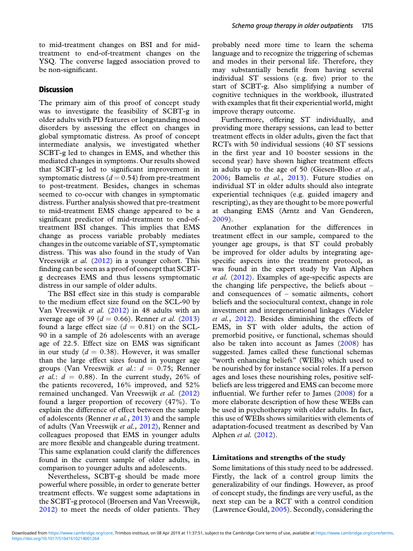to mid-treatment changes on BSI and for midtreatment to end-of-treatment changes on the YSQ. The converse lagged association proved to be non-significant.

## **Discussion**

The primary aim of this proof of concept study was to investigate the feasibility of SCBT-g in older adults with PD features or longstanding mood disorders by assessing the effect on changes in global symptomatic distress. As proof of concept intermediate analysis, we investigated whether SCBT-g led to changes in EMS, and whether this mediated changes in symptoms. Our results showed that SCBT-g led to significant improvement in symptomatic distress  $(d = 0.54)$  from pre-treatment to post-treatment. Besides, changes in schemas seemed to co-occur with changes in symptomatic distress. Further analysis showed that pre-treatment to mid-treatment EMS change appeared to be a significant predictor of mid-treatment to end-oftreatment BSI changes. This implies that EMS change as process variable probably mediates changes in the outcome variable of ST, symptomatic distress. This was also found in the study of Van Vreeswijk *et al.* [\(2012\)](#page-8-0) in a younger cohort. This finding can be seen as a proof of concept that SCBTg decreases EMS and thus lessens symptomatic distress in our sample of older adults.

The BSI effect size in this study is comparable to the medium effect size found on the SCL-90 by Van Vreeswijk *et al.* [\(2012\)](#page-8-0) in 48 adults with an average age of 39 ( $d = 0.66$ ). Renner *et al.* [\(2013\)](#page-8-0) found a large effect size  $(d = 0.81)$  on the SCL-90 in a sample of 26 adolescents with an average age of 22.5. Effect size on EMS was significant in our study  $(d = 0.38)$ . However, it was smaller than the large effect sizes found in younger age groups (Van Vreeswijk *et al.*: *d* = 0.75; Renner *et al.*:  $d = 0.88$ . In the current study, 26% of the patients recovered, 16% improved, and 52% remained unchanged. Van Vreeswijk *et al.* [\(2012\)](#page-8-0) found a larger proportion of recovery (47%). To explain the difference of effect between the sample of adolescents (Renner *et al.*, [2013\)](#page-8-0) and the sample of adults (Van Vreeswijk *et al.,* [2012\)](#page-8-0), Renner and colleagues proposed that EMS in younger adults are more flexible and changeable during treatment. This same explanation could clarify the differences found in the current sample of older adults, in comparison to younger adults and adolescents.

Nevertheless, SCBT-g should be made more powerful where possible, in order to generate better treatment effects. We suggest some adaptations in the SCBT-g protocol (Broersen and Van Vreeswijk, [2012\)](#page-7-0) to meet the needs of older patients. They probably need more time to learn the schema language and to recognize the triggering of schemas and modes in their personal life. Therefore, they may substantially benefit from having several individual ST sessions (e.g. five) prior to the start of SCBT-g. Also simplifying a number of cognitive techniques in the workbook, illustrated with examples that fit their experiential world, might improve therapy outcome.

Furthermore, offering ST individually, and providing more therapy sessions, can lead to better treatment effects in older adults, given the fact that RCTs with 50 individual sessions (40 ST sessions in the first year and 10 booster sessions in the second year) have shown higher treatment effects in adults up to the age of 50 (Giesen-Bloo *et al.*, [2006;](#page-8-0) Bamelis *et al.*, [2013\)](#page-7-0). Future studies on individual ST in older adults should also integrate experiential techniques (e.g. guided imagery and rescripting), as they are thought to be more powerful at changing EMS (Arntz and Van Genderen, [2009\)](#page-7-0).

Another explanation for the differences in treatment effect in our sample, compared to the younger age groups, is that ST could probably be improved for older adults by integrating agespecific aspects into the treatment protocol, as was found in the expert study by Van Alphen *et al.* [\(2012\)](#page-8-0). Examples of age-specific aspects are the changing life perspective, the beliefs about – and consequences of – somatic ailments, cohort beliefs and the sociocultural context, change in role investment and intergenerational linkages (Videler *et al.*, [2012\)](#page-8-0). Besides diminishing the effects of EMS, in ST with older adults, the action of premorbid positive, or functional, schemas should also be taken into account as James [\(2008\)](#page-8-0) has suggested. James called these functional schemas "worth enhancing beliefs" (WEBs) which used to be nourished by for instance social roles. If a person ages and loses these nourishing roles, positive selfbeliefs are less triggered and EMS can become more influential. We further refer to James [\(2008\)](#page-8-0) for a more elaborate description of how these WEBs can be used in psychotherapy with older adults. In fact, this use of WEBs shows similarities with elements of adaptation-focused treatment as described by Van Alphen *et al.* [\(2012\)](#page-8-0).

#### **Limitations and strengths of the study**

Some limitations of this study need to be addressed. Firstly, the lack of a control group limits the generalizability of our findings. However, as proof of concept study, the findings are very useful, as the next step can be a RCT with a control condition (Lawrence Gould, [2005\)](#page-8-0). Secondly, considering the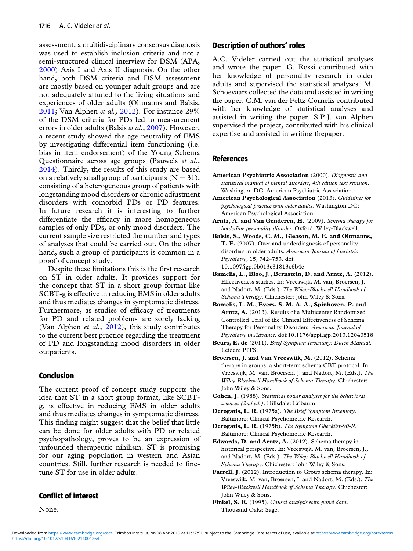<span id="page-7-0"></span>assessment, a multidisciplinary consensus diagnosis was used to establish inclusion criteria and not a semi-structured clinical interview for DSM (APA, 2000) Axis I and Axis II diagnosis. On the other hand, both DSM criteria and DSM assessment are mostly based on younger adult groups and are not adequately attuned to the living situations and experiences of older adults (Oltmanns and Balsis, [2011;](#page-8-0) Van Alphen *et al.,* [2012\)](#page-8-0). For instance 29% of the DSM criteria for PDs led to measurement errors in older adults (Balsis *et al.*, 2007). However, a recent study showed the age neutrality of EMS by investigating differential item functioning (i.e. bias in item endorsement) of the Young Schema Questionnaire across age groups (Pauwels *et al.*, [2014\)](#page-8-0). Thirdly, the results of this study are based on a relatively small group of participants  $(N = 31)$ , consisting of a heterogeneous group of patients with longstanding mood disorders or chronic adjustment disorders with comorbid PDs or PD features. In future research it is interesting to further differentiate the efficacy in more homogeneous samples of only PDs, or only mood disorders. The current sample size restricted the number and types of analyses that could be carried out. On the other hand, such a group of participants is common in a proof of concept study.

Despite these limitations this is the first research on ST in older adults. It provides support for the concept that ST in a short group format like SCBT-g is effective in reducing EMS in older adults and thus mediates changes in symptomatic distress. Furthermore, as studies of efficacy of treatments for PD and related problems are sorely lacking (Van Alphen *et al.*, [2012\)](#page-8-0), this study contributes to the current best practice regarding the treatment of PD and longstanding mood disorders in older outpatients.

## **Conclusion**

The current proof of concept study supports the idea that ST in a short group format, like SCBTg, is effective in reducing EMS in older adults and thus mediates changes in symptomatic distress. This finding might suggest that the belief that little can be done for older adults with PD or related psychopathology, proves to be an expression of unfounded therapeutic nihilism. ST is promising for our aging population in western and Asian countries. Still, further research is needed to finetune ST for use in older adults.

# **Conflict of interest**

None.

# **Description of authors' roles**

A.C. Videler carried out the statistical analyses and wrote the paper. G. Rossi contributed with her knowledge of personality research in older adults and supervised the statistical analyses. M. Schoevaars collected the data and assisted in writing the paper. C.M. van der Feltz-Cornelis contributed with her knowledge of statistical analyses and assisted in writing the paper. S.P.J. van Alphen supervised the project, contributed with his clinical expertise and assisted in writing thepaper.

## **References**

- **American Psychiatric Association** (2000). *Diagnostic and statistical manual of mental disorders, 4th edition text revision*. Washington DC: American Psychiatric Association.
- **American Psychological Association** (2013). *Guidelines for psychological practice with older adults*. Washington DC: American Psychological Association.
- **Arntz, A. and Van Genderen, H.** (2009). *Schema therapy for borderline personality disorder*. Oxford: Wiley-Blackwell.
- **Balsis, S., Woods, C. M., Gleason, M. E. and Oltmanns, T. F.** (2007). Over and underdiagnosis of personality disorders in older adults. *American Journal of Geriatric Psychiatry*, 15, 742–753. doi: 10.1097/jgp.0b013e31813c6b4e
- **Bamelis, L., Bloo, J., Bernstein, D. and Arntz, A.** (2012). Effectiveness studies. In: Vreeswijk, M. van, Broersen, J. and Nadort, M. (Eds.). *The Wiley-Blackwell Handbook of Schema Therapy*. Chichester: John Wiley & Sons.
- **Bamelis, L. M., Evers, S. M. A. A., Spinhoven, P. and Arntz, A.** (2013). Results of a Multicenter Randomized Controlled Trial of the Clinical Effectiveness of Schema Therapy for Personality Disorders. *American Journal of Psychiatry in Advance*. doi:10.1176/appi.ajp.2013.12040518
- **Beurs, E. de** (2011). *Brief Symptom Inventory: Dutch Manual*. Leiden: PITS.
- **Broersen, J. and Van Vreeswijk, M.** (2012). Schema therapy in groups: a short-term schema CBT protocol. In: Vreeswijk, M. van, Broersen, J. and Nadort, M. (Eds.). *The Wiley-Blackwell Handbook of Schema Therapy*. Chichester: John Wiley & Sons.
- **Cohen, J.** (1988). *Statistical power analyses for the behavioral sciences (2nd ed.)*. Hillsdale: Erlbaum.
- **Derogatis, L. R.** (1975a). *The Brief Symptom Inventory*. Baltimore: Clinical Psychometric Research.
- **Derogatis, L. R.** (1975b). *The Symptom Checklist-90-R*. Baltimore: Clinical Psychometric Research.
- **Edwards, D. and Arntz, A.** (2012). Schema therapy in historical perspective. In: Vreeswijk, M. van, Broersen, J., and Nadort, M. (Eds.). *The Wiley-Blackwell Handbook of Schema Therapy*. Chichester: John Wiley & Sons.
- **Farrell, J.** (2012). Introduction to Group schema therapy. In: Vreeswijk, M. van, Broersen, J. and Nadort, M. (Eds.). *The Wiley-Blackwell Handbook of Schema Therapy*. Chichester: John Wiley & Sons.
- **Finkel, S. E.** (1995). *Causal analysis with panel data*. Thousand Oaks: Sage.